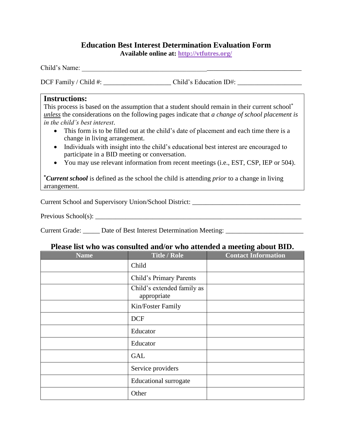## **Education Best Interest Determination Evaluation Form**

**Available online at: [http://vtfutres.org/](http://vtfutres.org/wp-content/uploads/2013/10/Fillable-BID-Form.pdf)**

Child's Name: \_\_\_\_\_\_\_\_\_\_\_\_\_\_\_\_\_\_\_\_\_\_\_\_\_\_\_\_\_\_\_\_\_\_\_\_\_\_\_\_\_\_\_\_\_\_\_\_\_\_\_\_\_\_\_\_\_\_\_\_\_\_\_\_\_

DCF Family / Child #: <br>Child's Education ID#:

#### **Instructions:**

This process is based on the assumption that a student should remain in their current school<sup>\*</sup> *unless* the considerations on the following pages indicate that *a change of school placement is in the child's best interest*.

- This form is to be filled out at the child's date of placement and each time there is a change in living arrangement.
- Individuals with insight into the child's educational best interest are encouraged to participate in a BID meeting or conversation.
- You may use relevant information from recent meetings (i.e., EST, CSP, IEP or 504).

**\****Current school* is defined as the school the child is attending *prior* to a change in living arrangement.

Current School and Supervisory Union/School District: \_\_\_\_\_\_\_\_\_\_\_\_\_\_\_\_\_\_\_\_\_\_\_\_\_\_

Previous School(s): \_\_\_\_\_\_\_\_\_\_\_\_\_\_\_\_\_\_\_\_\_\_\_\_\_\_\_\_\_\_\_\_\_\_\_\_\_\_\_\_\_\_\_\_\_\_\_\_\_\_\_\_\_\_\_\_\_\_\_\_\_

Current Grade: \_\_\_\_\_\_ Date of Best Interest Determination Meeting: \_\_\_\_\_\_\_\_\_\_\_\_\_\_\_\_\_\_\_\_\_\_\_\_\_\_\_\_\_\_\_\_\_

### **Please list who was consulted and/or who attended a meeting about BID.**

| <b>Name</b> | <b>Title / Role</b>                       | <b>Contact Information</b> |
|-------------|-------------------------------------------|----------------------------|
|             | Child                                     |                            |
|             | Child's Primary Parents                   |                            |
|             | Child's extended family as<br>appropriate |                            |
|             | Kin/Foster Family                         |                            |
|             | <b>DCF</b>                                |                            |
|             | Educator                                  |                            |
|             | Educator                                  |                            |
|             | <b>GAL</b>                                |                            |
|             | Service providers                         |                            |
|             | <b>Educational surrogate</b>              |                            |
|             | Other                                     |                            |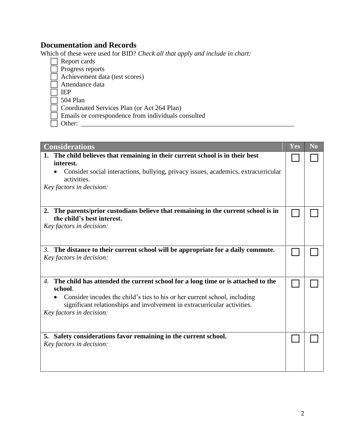# **Documentation and Records**

Which of these were used for BID? *Check all that apply and include in chart:* 

- Report cards
- $\Box$  Progress reports
- $\Box$  Achievement data (test scores)
- $\overline{\Box}$  Attendance data
- IEP
- $\overline{\Box}$  504 Plan
- Coordinated Services Plan (or Act 264 Plan)
- Emails or correspondence from individuals consulted
- Other: \_\_\_\_\_\_\_\_\_\_\_\_\_\_\_\_\_\_\_\_\_\_\_\_\_\_\_\_\_\_\_\_\_\_\_\_\_\_\_\_\_\_\_\_\_\_\_\_\_\_\_\_\_\_\_\_\_\_\_\_\_\_\_

| <b>Considerations</b>                                                                                               | Yes | N <sub>o</sub> |
|---------------------------------------------------------------------------------------------------------------------|-----|----------------|
| 1. The child believes that remaining in their current school is in their best                                       |     |                |
| interest.                                                                                                           |     |                |
| Consider social interactions, bullying, privacy issues, academics, extracurricular<br>activities.                   |     |                |
| Key factors in decision:                                                                                            |     |                |
|                                                                                                                     |     |                |
|                                                                                                                     |     |                |
| The parents/prior custodians believe that remaining in the current school is in<br>2.<br>the child's best interest. |     |                |
| Key factors in decision:                                                                                            |     |                |
|                                                                                                                     |     |                |
|                                                                                                                     |     |                |
| The distance to their current school will be appropriate for a daily commute.<br>3.                                 |     |                |
| Key factors in decision:                                                                                            |     |                |
|                                                                                                                     |     |                |
| The child has attended the current school for a long time or is attached to the<br>4.                               |     |                |
| school.                                                                                                             |     |                |
| Consider incudes the child's ties to his or her current school, including                                           |     |                |
| significant relationships and involvement in extracurricular activities.<br>Key factors in decision:                |     |                |
|                                                                                                                     |     |                |
|                                                                                                                     |     |                |
| 5. Safety considerations favor remaining in the current school.                                                     |     |                |
| Key factors in decision:                                                                                            |     |                |
|                                                                                                                     |     |                |
|                                                                                                                     |     |                |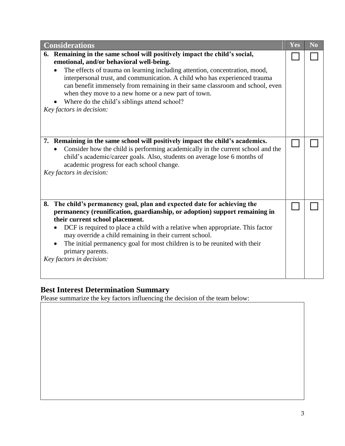| <b>Considerations</b>                                                                                                                                                                                                                                                                                                                                                                                                                                                                                   | Yes | N <sub>o</sub> |
|---------------------------------------------------------------------------------------------------------------------------------------------------------------------------------------------------------------------------------------------------------------------------------------------------------------------------------------------------------------------------------------------------------------------------------------------------------------------------------------------------------|-----|----------------|
| 6. Remaining in the same school will positively impact the child's social,<br>emotional, and/or behavioral well-being.<br>The effects of trauma on learning including attention, concentration, mood,<br>interpersonal trust, and communication. A child who has experienced trauma<br>can benefit immensely from remaining in their same classroom and school, even<br>when they move to a new home or a new part of town.<br>Where do the child's siblings attend school?<br>Key factors in decision: |     |                |
| 7. Remaining in the same school will positively impact the child's academics.<br>Consider how the child is performing academically in the current school and the<br>child's academic/career goals. Also, students on average lose 6 months of<br>academic progress for each school change.<br>Key factors in decision:                                                                                                                                                                                  |     |                |
| 8. The child's permanency goal, plan and expected date for achieving the<br>permanency (reunification, guardianship, or adoption) support remaining in<br>their current school placement.<br>DCF is required to place a child with a relative when appropriate. This factor<br>may override a child remaining in their current school.<br>The initial permanency goal for most children is to be reunited with their<br>primary parents.<br>Key factors in decision:                                    |     |                |

### **Best Interest Determination Summary**

Please summarize the key factors influencing the decision of the team below: